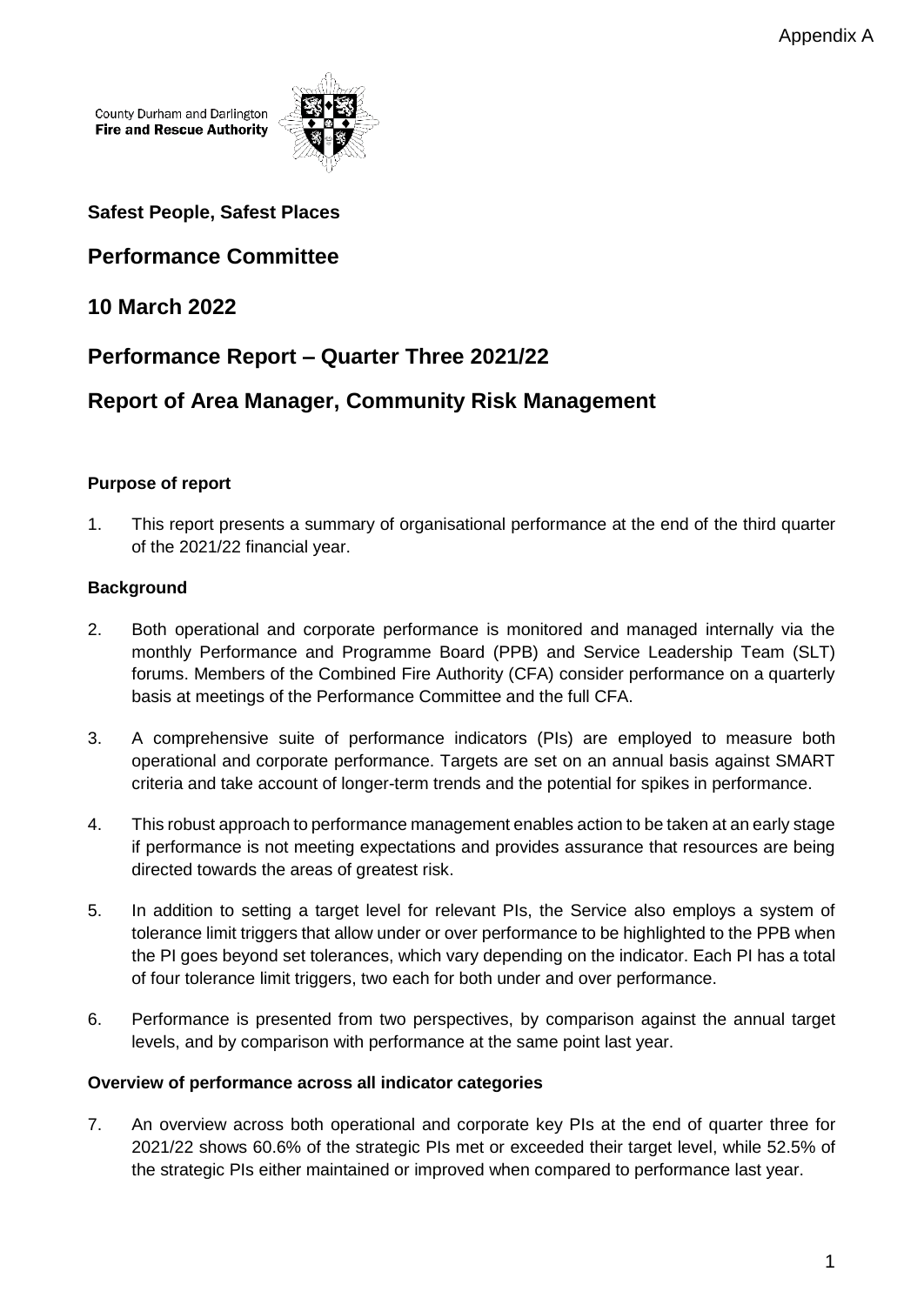County Durham and Darlington **Fire and Rescue Authority** 



**Safest People, Safest Places**

# **Performance Committee**

## **10 March 2022**

# **Performance Report – Quarter Three 2021/22**

# **Report of Area Manager, Community Risk Management**

## **Purpose of report**

1. This report presents a summary of organisational performance at the end of the third quarter of the 2021/22 financial year.

## **Background**

- 2. Both operational and corporate performance is monitored and managed internally via the monthly Performance and Programme Board (PPB) and Service Leadership Team (SLT) forums. Members of the Combined Fire Authority (CFA) consider performance on a quarterly basis at meetings of the Performance Committee and the full CFA.
- 3. A comprehensive suite of performance indicators (PIs) are employed to measure both operational and corporate performance. Targets are set on an annual basis against SMART criteria and take account of longer-term trends and the potential for spikes in performance.
- 4. This robust approach to performance management enables action to be taken at an early stage if performance is not meeting expectations and provides assurance that resources are being directed towards the areas of greatest risk.
- 5. In addition to setting a target level for relevant PIs, the Service also employs a system of tolerance limit triggers that allow under or over performance to be highlighted to the PPB when the PI goes beyond set tolerances, which vary depending on the indicator. Each PI has a total of four tolerance limit triggers, two each for both under and over performance.
- 6. Performance is presented from two perspectives, by comparison against the annual target levels, and by comparison with performance at the same point last year.

### **Overview of performance across all indicator categories**

7. An overview across both operational and corporate key PIs at the end of quarter three for 2021/22 shows 60.6% of the strategic PIs met or exceeded their target level, while 52.5% of the strategic PIs either maintained or improved when compared to performance last year.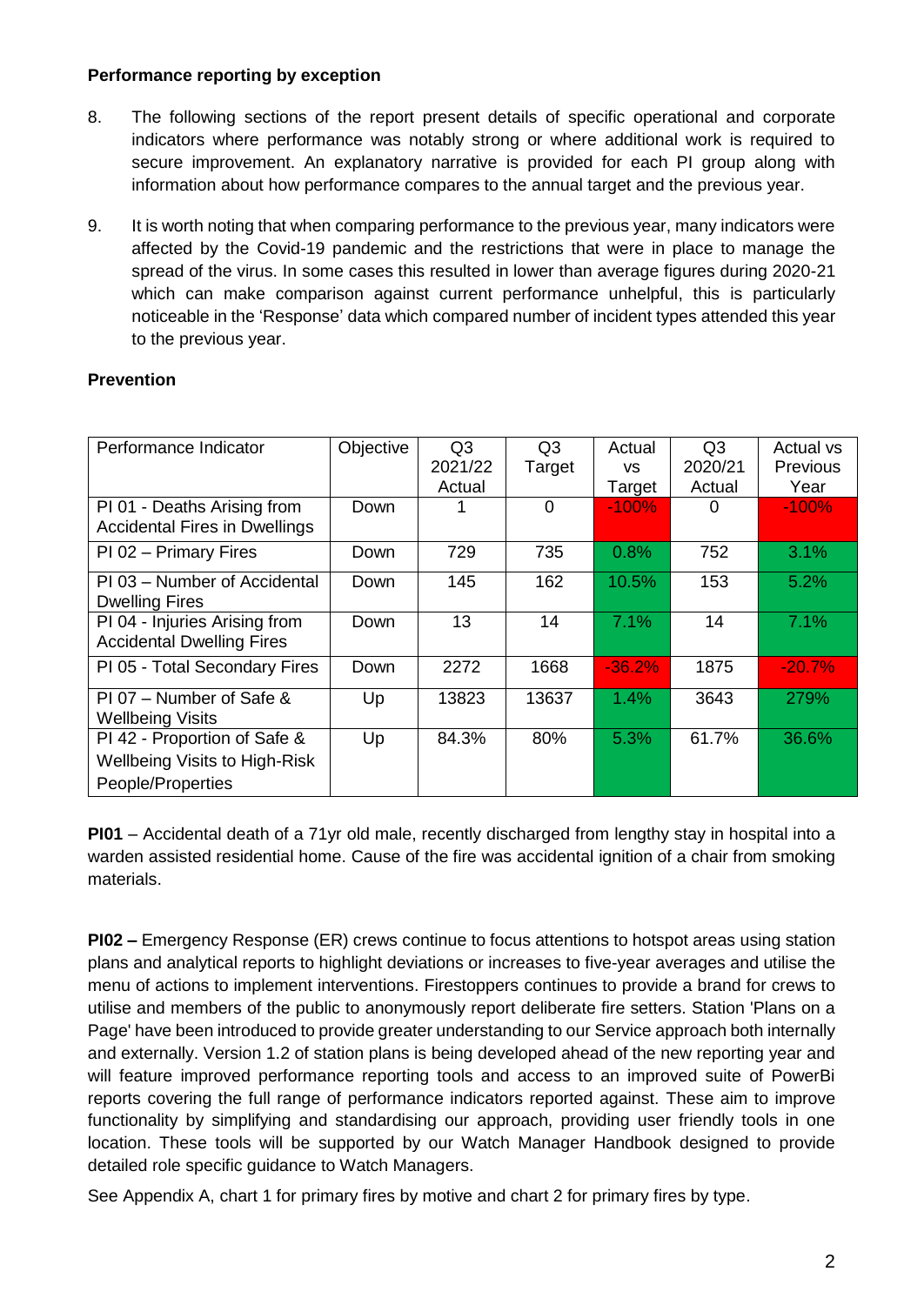#### **Performance reporting by exception**

- 8. The following sections of the report present details of specific operational and corporate indicators where performance was notably strong or where additional work is required to secure improvement. An explanatory narrative is provided for each PI group along with information about how performance compares to the annual target and the previous year.
- 9. It is worth noting that when comparing performance to the previous year, many indicators were affected by the Covid-19 pandemic and the restrictions that were in place to manage the spread of the virus. In some cases this resulted in lower than average figures during 2020-21 which can make comparison against current performance unhelpful, this is particularly noticeable in the 'Response' data which compared number of incident types attended this year to the previous year.

#### **Prevention**

| Performance Indicator                                                | Objective | Q3      | Q <sub>3</sub> | Actual    | Q3      | Actual vs       |
|----------------------------------------------------------------------|-----------|---------|----------------|-----------|---------|-----------------|
|                                                                      |           | 2021/22 | Target         | <b>VS</b> | 2020/21 | <b>Previous</b> |
|                                                                      |           | Actual  |                | Target    | Actual  | Year            |
| PI 01 - Deaths Arising from<br><b>Accidental Fires in Dwellings</b>  | Down      |         | $\Omega$       | $-100%$   | 0       | $-100%$         |
| PI 02 - Primary Fires                                                | Down      | 729     | 735            | 0.8%      | 752     | 3.1%            |
| PI 03 - Number of Accidental<br><b>Dwelling Fires</b>                | Down      | 145     | 162            | 10.5%     | 153     | 5.2%            |
| PI 04 - Injuries Arising from<br><b>Accidental Dwelling Fires</b>    | Down      | 13      | 14             | 7.1%      | 14      | 7.1%            |
| PI 05 - Total Secondary Fires                                        | Down      | 2272    | 1668           | $-36.2%$  | 1875    | $-20.7%$        |
| $PI 07 - Number of Safe &$<br><b>Wellbeing Visits</b>                | Up        | 13823   | 13637          | $1.4\%$   | 3643    | 279%            |
| PI 42 - Proportion of Safe &<br><b>Wellbeing Visits to High-Risk</b> | Up        | 84.3%   | 80%            | 5.3%      | 61.7%   | 36.6%           |
| People/Properties                                                    |           |         |                |           |         |                 |

**PI01** – Accidental death of a 71yr old male, recently discharged from lengthy stay in hospital into a warden assisted residential home. Cause of the fire was accidental ignition of a chair from smoking materials.

**PI02 –** Emergency Response (ER) crews continue to focus attentions to hotspot areas using station plans and analytical reports to highlight deviations or increases to five-year averages and utilise the menu of actions to implement interventions. Firestoppers continues to provide a brand for crews to utilise and members of the public to anonymously report deliberate fire setters. Station 'Plans on a Page' have been introduced to provide greater understanding to our Service approach both internally and externally. Version 1.2 of station plans is being developed ahead of the new reporting year and will feature improved performance reporting tools and access to an improved suite of PowerBi reports covering the full range of performance indicators reported against. These aim to improve functionality by simplifying and standardising our approach, providing user friendly tools in one location. These tools will be supported by our Watch Manager Handbook designed to provide detailed role specific guidance to Watch Managers.

See Appendix A, chart 1 for primary fires by motive and chart 2 for primary fires by type.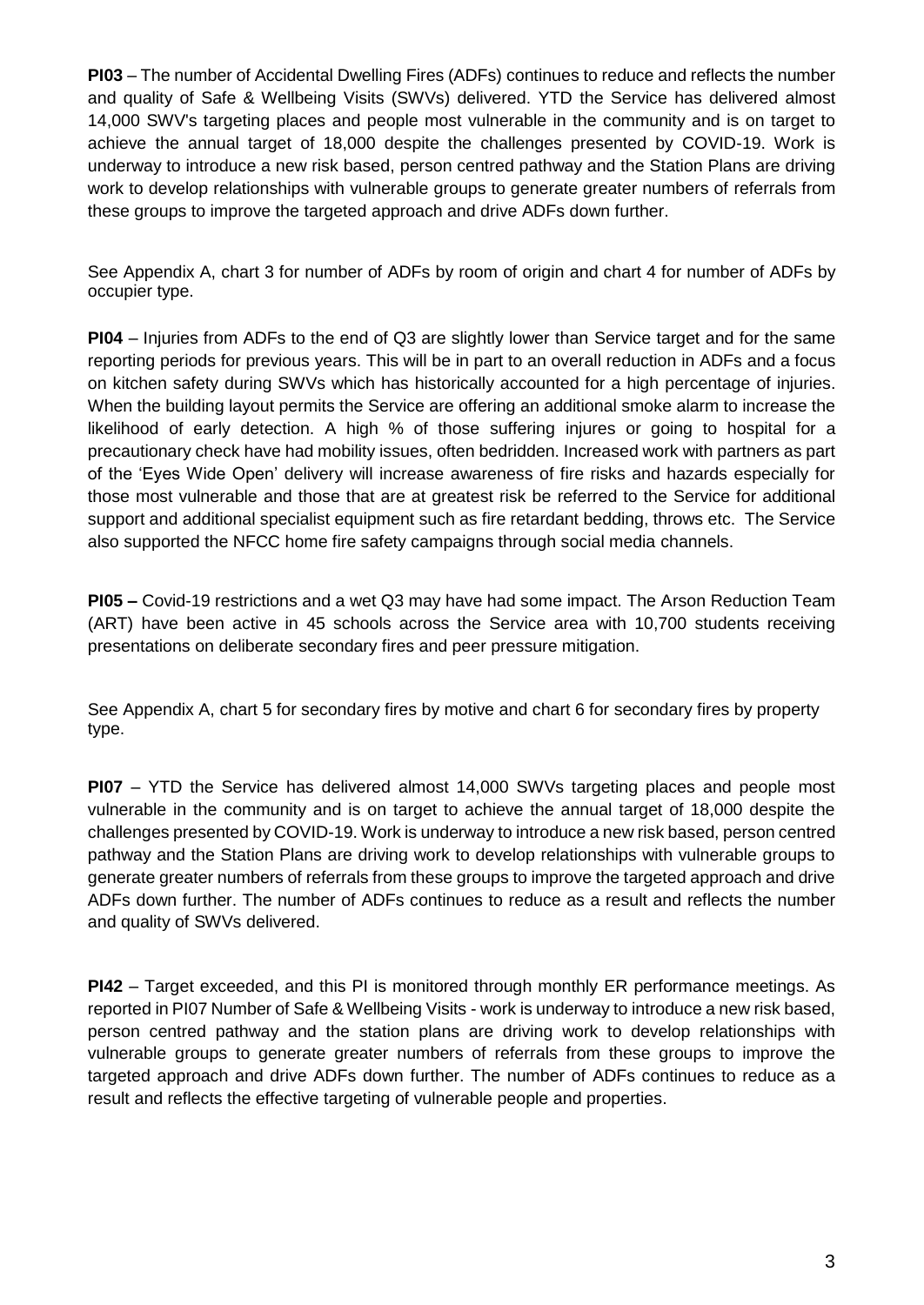**PI03** – The number of Accidental Dwelling Fires (ADFs) continues to reduce and reflects the number and quality of Safe & Wellbeing Visits (SWVs) delivered. YTD the Service has delivered almost 14,000 SWV's targeting places and people most vulnerable in the community and is on target to achieve the annual target of 18,000 despite the challenges presented by COVID-19. Work is underway to introduce a new risk based, person centred pathway and the Station Plans are driving work to develop relationships with vulnerable groups to generate greater numbers of referrals from these groups to improve the targeted approach and drive ADFs down further.

See Appendix A, chart 3 for number of ADFs by room of origin and chart 4 for number of ADFs by occupier type.

**PI04** – Injuries from ADFs to the end of Q3 are slightly lower than Service target and for the same reporting periods for previous years. This will be in part to an overall reduction in ADFs and a focus on kitchen safety during SWVs which has historically accounted for a high percentage of injuries. When the building layout permits the Service are offering an additional smoke alarm to increase the likelihood of early detection. A high % of those suffering injures or going to hospital for a precautionary check have had mobility issues, often bedridden. Increased work with partners as part of the 'Eyes Wide Open' delivery will increase awareness of fire risks and hazards especially for those most vulnerable and those that are at greatest risk be referred to the Service for additional support and additional specialist equipment such as fire retardant bedding, throws etc. The Service also supported the NFCC home fire safety campaigns through social media channels.

**PI05 –** Covid-19 restrictions and a wet Q3 may have had some impact. The Arson Reduction Team (ART) have been active in 45 schools across the Service area with 10,700 students receiving presentations on deliberate secondary fires and peer pressure mitigation.

See Appendix A, chart 5 for secondary fires by motive and chart 6 for secondary fires by property type.

**PI07** – YTD the Service has delivered almost 14,000 SWVs targeting places and people most vulnerable in the community and is on target to achieve the annual target of 18,000 despite the challenges presented by COVID-19. Work is underway to introduce a new risk based, person centred pathway and the Station Plans are driving work to develop relationships with vulnerable groups to generate greater numbers of referrals from these groups to improve the targeted approach and drive ADFs down further. The number of ADFs continues to reduce as a result and reflects the number and quality of SWVs delivered.

**PI42** – Target exceeded, and this PI is monitored through monthly ER performance meetings. As reported in PI07 Number of Safe & Wellbeing Visits - work is underway to introduce a new risk based, person centred pathway and the station plans are driving work to develop relationships with vulnerable groups to generate greater numbers of referrals from these groups to improve the targeted approach and drive ADFs down further. The number of ADFs continues to reduce as a result and reflects the effective targeting of vulnerable people and properties.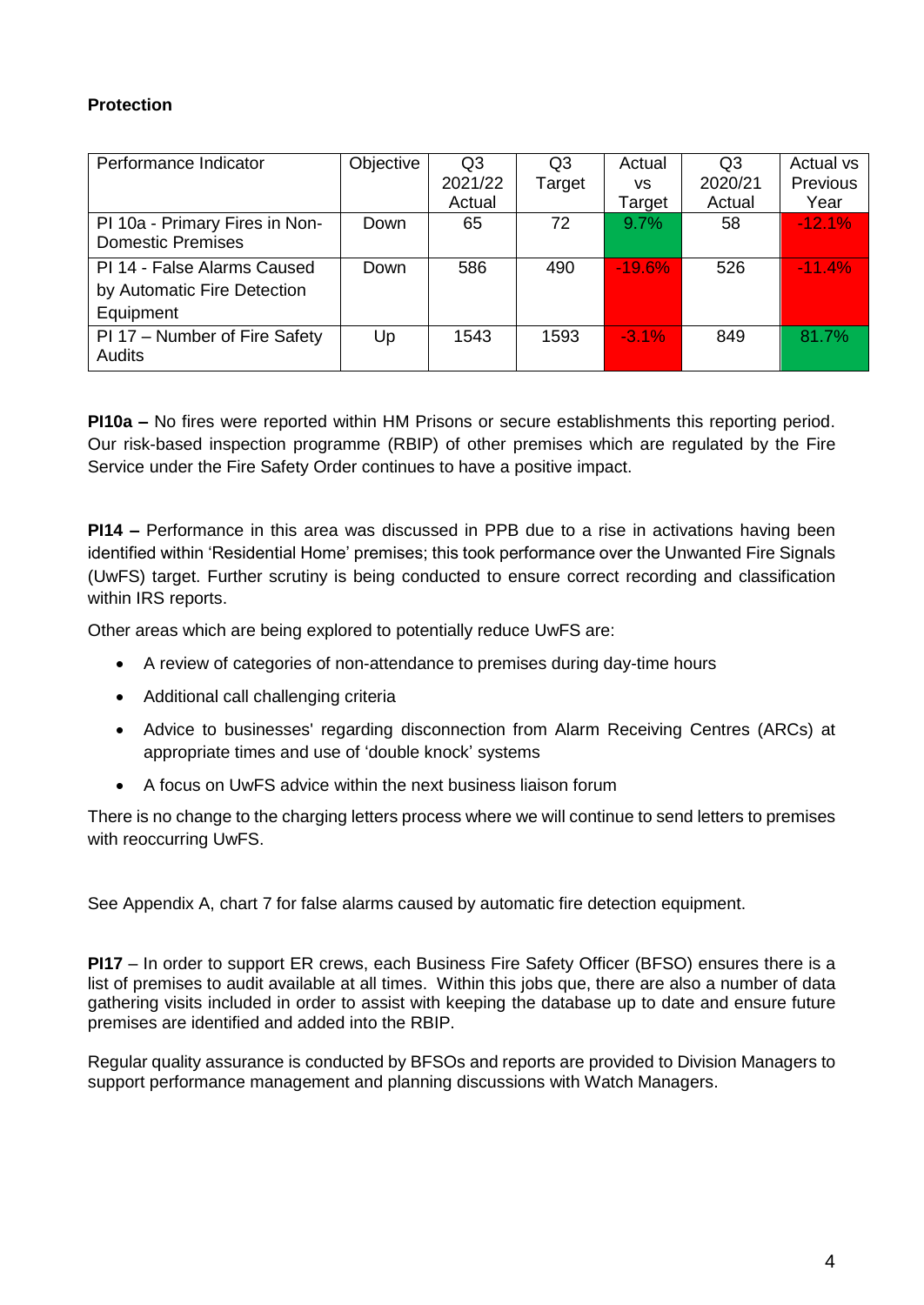## **Protection**

| Performance Indicator                                                   | Objective | Q <sub>3</sub><br>2021/22<br>Actual | Q3<br>Target | Actual<br>vs<br>Target | Q3<br>2020/21<br>Actual | Actual vs<br>Previous<br>Year |
|-------------------------------------------------------------------------|-----------|-------------------------------------|--------------|------------------------|-------------------------|-------------------------------|
| PI 10a - Primary Fires in Non-<br><b>Domestic Premises</b>              | Down      | 65                                  | 72           | $9.7\%$                | 58                      | $-12.1%$                      |
| PI 14 - False Alarms Caused<br>by Automatic Fire Detection<br>Equipment | Down      | 586                                 | 490          | $-19.6\%$              | 526                     | $-11.4%$                      |
| PI 17 - Number of Fire Safety<br>Audits                                 | Up        | 1543                                | 1593         | $-3.1\%$               | 849                     | 81.7%                         |

**PI10a –** No fires were reported within HM Prisons or secure establishments this reporting period. Our risk-based inspection programme (RBIP) of other premises which are regulated by the Fire Service under the Fire Safety Order continues to have a positive impact.

**PI14 –** Performance in this area was discussed in PPB due to a rise in activations having been identified within 'Residential Home' premises; this took performance over the Unwanted Fire Signals (UwFS) target. Further scrutiny is being conducted to ensure correct recording and classification within IRS reports.

Other areas which are being explored to potentially reduce UwFS are:

- A review of categories of non-attendance to premises during day-time hours
- Additional call challenging criteria
- Advice to businesses' regarding disconnection from Alarm Receiving Centres (ARCs) at appropriate times and use of 'double knock' systems
- A focus on UwFS advice within the next business liaison forum

There is no change to the charging letters process where we will continue to send letters to premises with reoccurring UwFS.

See Appendix A, chart 7 for false alarms caused by automatic fire detection equipment.

**PI17** – In order to support ER crews, each Business Fire Safety Officer (BFSO) ensures there is a list of premises to audit available at all times. Within this jobs que, there are also a number of data gathering visits included in order to assist with keeping the database up to date and ensure future premises are identified and added into the RBIP.

Regular quality assurance is conducted by BFSOs and reports are provided to Division Managers to support performance management and planning discussions with Watch Managers.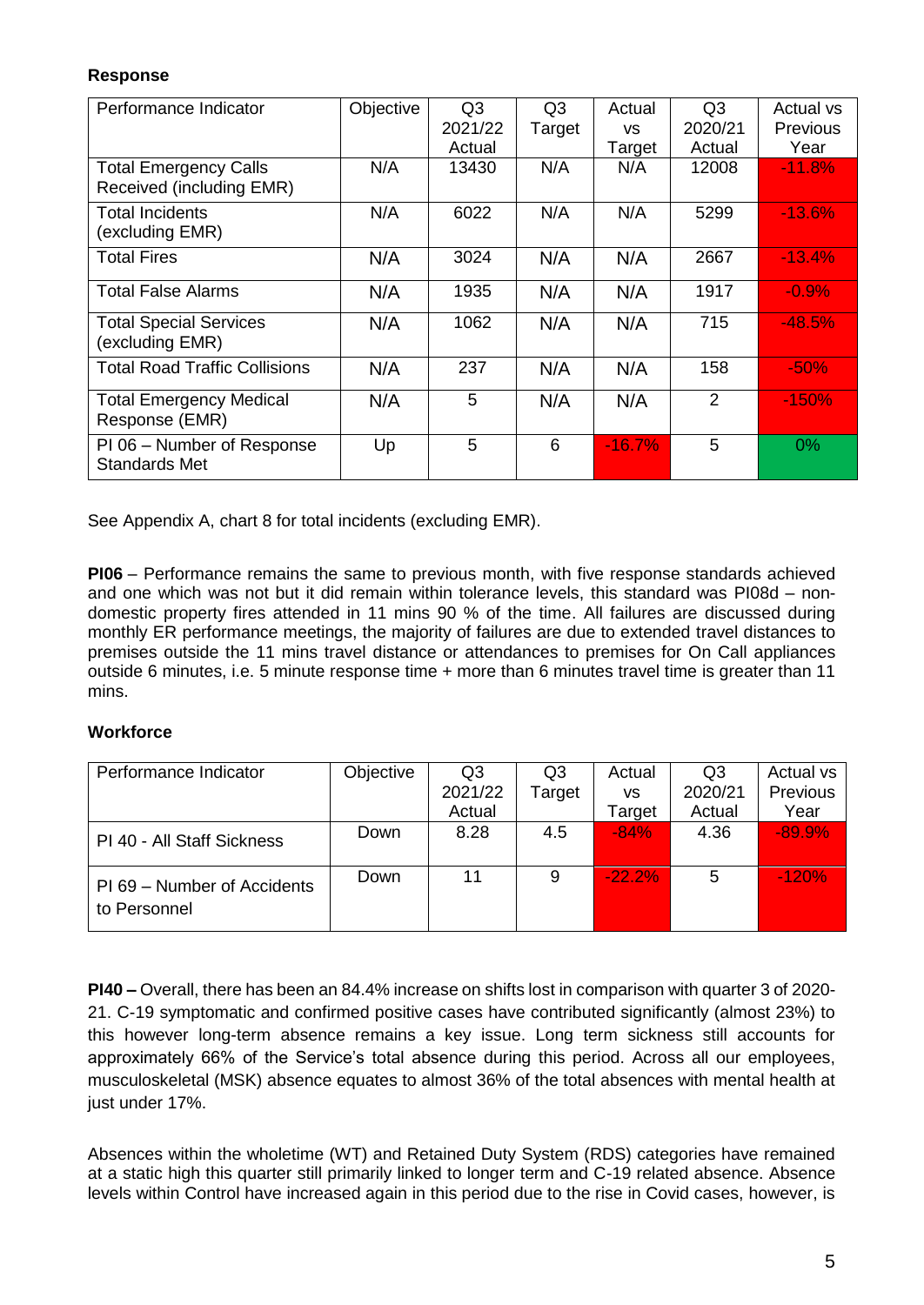### **Response**

| Performance Indicator                                    | Objective | Q <sub>3</sub><br>2021/22 | Q <sub>3</sub><br>Target | Actual<br><b>VS</b> | Q <sub>3</sub><br>2020/21 | Actual vs<br><b>Previous</b> |
|----------------------------------------------------------|-----------|---------------------------|--------------------------|---------------------|---------------------------|------------------------------|
|                                                          | N/A       | Actual<br>13430           | N/A                      | Target<br>N/A       | Actual<br>12008           | Year<br>$-11.8%$             |
| <b>Total Emergency Calls</b><br>Received (including EMR) |           |                           |                          |                     |                           |                              |
| <b>Total Incidents</b><br>(excluding EMR)                | N/A       | 6022                      | N/A                      | N/A                 | 5299                      | $-13.6\%$                    |
| <b>Total Fires</b>                                       | N/A       | 3024                      | N/A                      | N/A                 | 2667                      | $-13.4%$                     |
| <b>Total False Alarms</b>                                | N/A       | 1935                      | N/A                      | N/A                 | 1917                      | $-0.9%$                      |
| <b>Total Special Services</b><br>(excluding EMR)         | N/A       | 1062                      | N/A                      | N/A                 | 715                       | $-48.5%$                     |
| <b>Total Road Traffic Collisions</b>                     | N/A       | 237                       | N/A                      | N/A                 | 158                       | $-50%$                       |
| <b>Total Emergency Medical</b><br>Response (EMR)         | N/A       | 5                         | N/A                      | N/A                 | 2                         | $-150%$                      |
| PI 06 – Number of Response<br><b>Standards Met</b>       | Up        | 5                         | 6                        | $-16.7%$            | 5                         | $0\%$                        |

See Appendix A, chart 8 for total incidents (excluding EMR).

**PI06** – Performance remains the same to previous month, with five response standards achieved and one which was not but it did remain within tolerance levels, this standard was PI08d – nondomestic property fires attended in 11 mins 90 % of the time. All failures are discussed during monthly ER performance meetings, the majority of failures are due to extended travel distances to premises outside the 11 mins travel distance or attendances to premises for On Call appliances outside 6 minutes, i.e. 5 minute response time + more than 6 minutes travel time is greater than 11 mins.

### **Workforce**

| Performance Indicator                       | Objective | Q3      | Q <sub>3</sub> | Actual   | Q <sub>3</sub> | Actual vs |
|---------------------------------------------|-----------|---------|----------------|----------|----------------|-----------|
|                                             |           | 2021/22 | Target         | ٧S       | 2020/21        | Previous  |
|                                             |           | Actual  |                | Target   | Actual         | Year      |
| PI 40 - All Staff Sickness                  | Down      | 8.28    | 4.5            | $-84%$   | 4.36           | $-89.9%$  |
| PI 69 - Number of Accidents<br>to Personnel | Down      | 11      | 9              | $-22.2%$ | 5              | $-120%$   |

**PI40 –** Overall, there has been an 84.4% increase on shifts lost in comparison with quarter 3 of 2020- 21. C-19 symptomatic and confirmed positive cases have contributed significantly (almost 23%) to this however long-term absence remains a key issue. Long term sickness still accounts for approximately 66% of the Service's total absence during this period. Across all our employees, musculoskeletal (MSK) absence equates to almost 36% of the total absences with mental health at just under 17%.

Absences within the wholetime (WT) and Retained Duty System (RDS) categories have remained at a static high this quarter still primarily linked to longer term and C-19 related absence. Absence levels within Control have increased again in this period due to the rise in Covid cases, however, is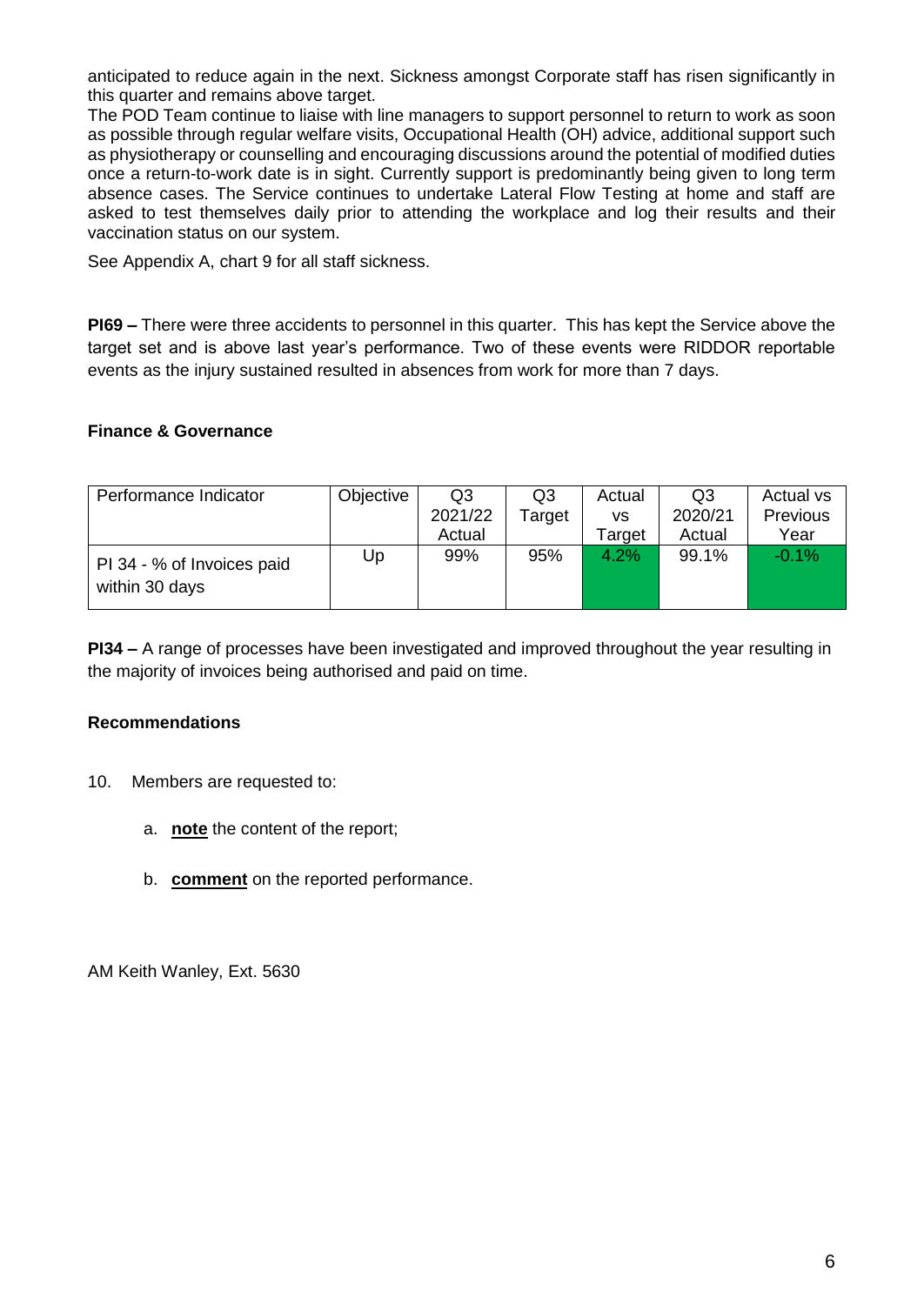anticipated to reduce again in the next. Sickness amongst Corporate staff has risen significantly in this quarter and remains above target.

The POD Team continue to liaise with line managers to support personnel to return to work as soon as possible through regular welfare visits, Occupational Health (OH) advice, additional support such as physiotherapy or counselling and encouraging discussions around the potential of modified duties once a return-to-work date is in sight. Currently support is predominantly being given to long term absence cases. The Service continues to undertake Lateral Flow Testing at home and staff are asked to test themselves daily prior to attending the workplace and log their results and their vaccination status on our system.

See Appendix A, chart 9 for all staff sickness.

**PI69 –** There were three accidents to personnel in this quarter. This has kept the Service above the target set and is above last year's performance. Two of these events were RIDDOR reportable events as the injury sustained resulted in absences from work for more than 7 days.

#### **Finance & Governance**

| Performance Indicator                        | Objective | Q3      | Q3     | Actual | Q3      | Actual vs       |
|----------------------------------------------|-----------|---------|--------|--------|---------|-----------------|
|                                              |           | 2021/22 | Target | VS     | 2020/21 | <b>Previous</b> |
|                                              |           | Actual  |        | Target | Actual  | Year            |
| PI 34 - % of Invoices paid<br>within 30 days | Up        | 99%     | 95%    | 4.2%   | 99.1%   | $-0.1\%$        |

**PI34 –** A range of processes have been investigated and improved throughout the year resulting in the majority of invoices being authorised and paid on time.

#### **Recommendations**

- 10. Members are requested to:
	- a. **note** the content of the report;
	- b. **comment** on the reported performance.

AM Keith Wanley, Ext. 5630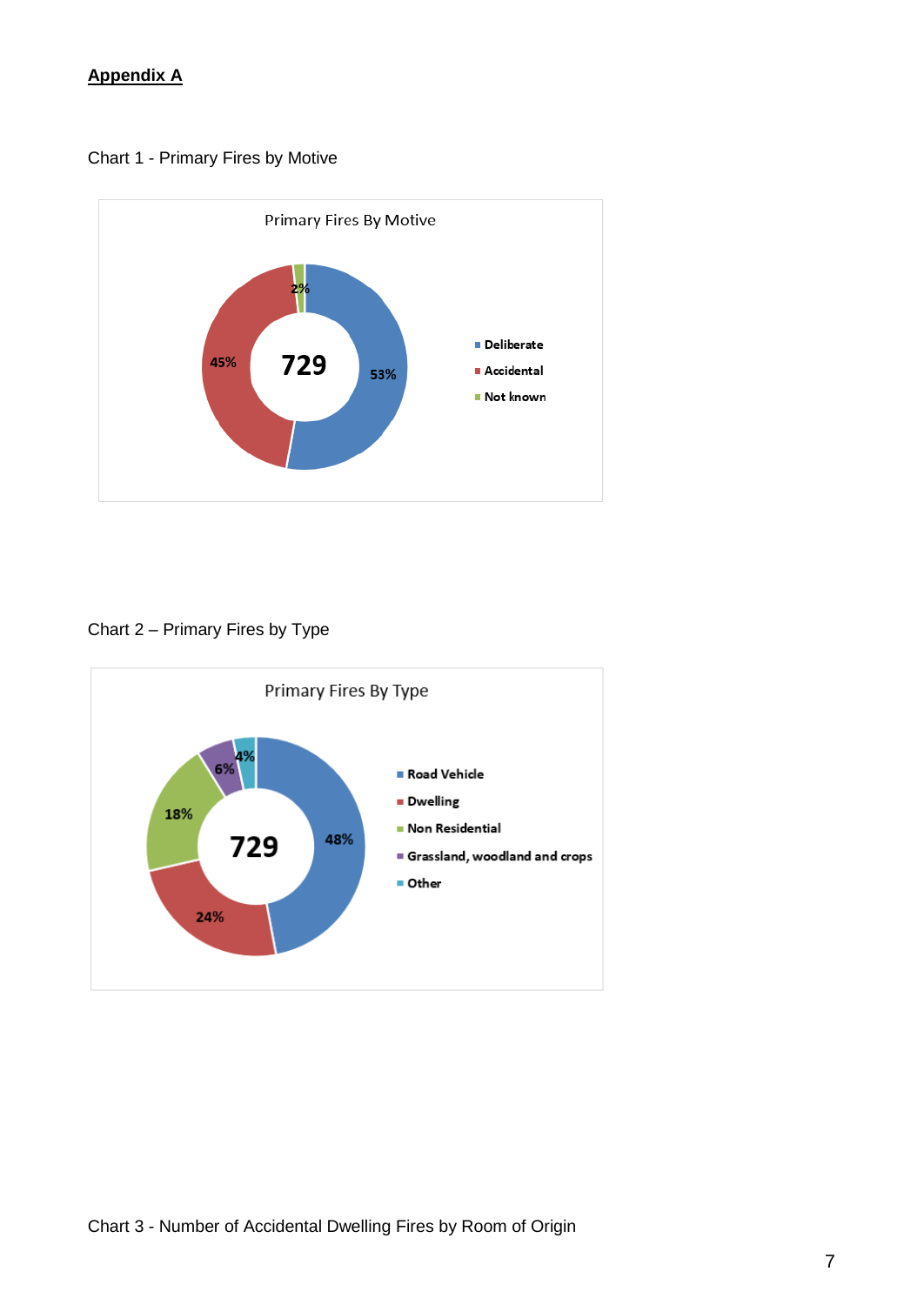## **Appendix A**

Chart 1 - Primary Fires by Motive



## Chart 2 – Primary Fires by Type

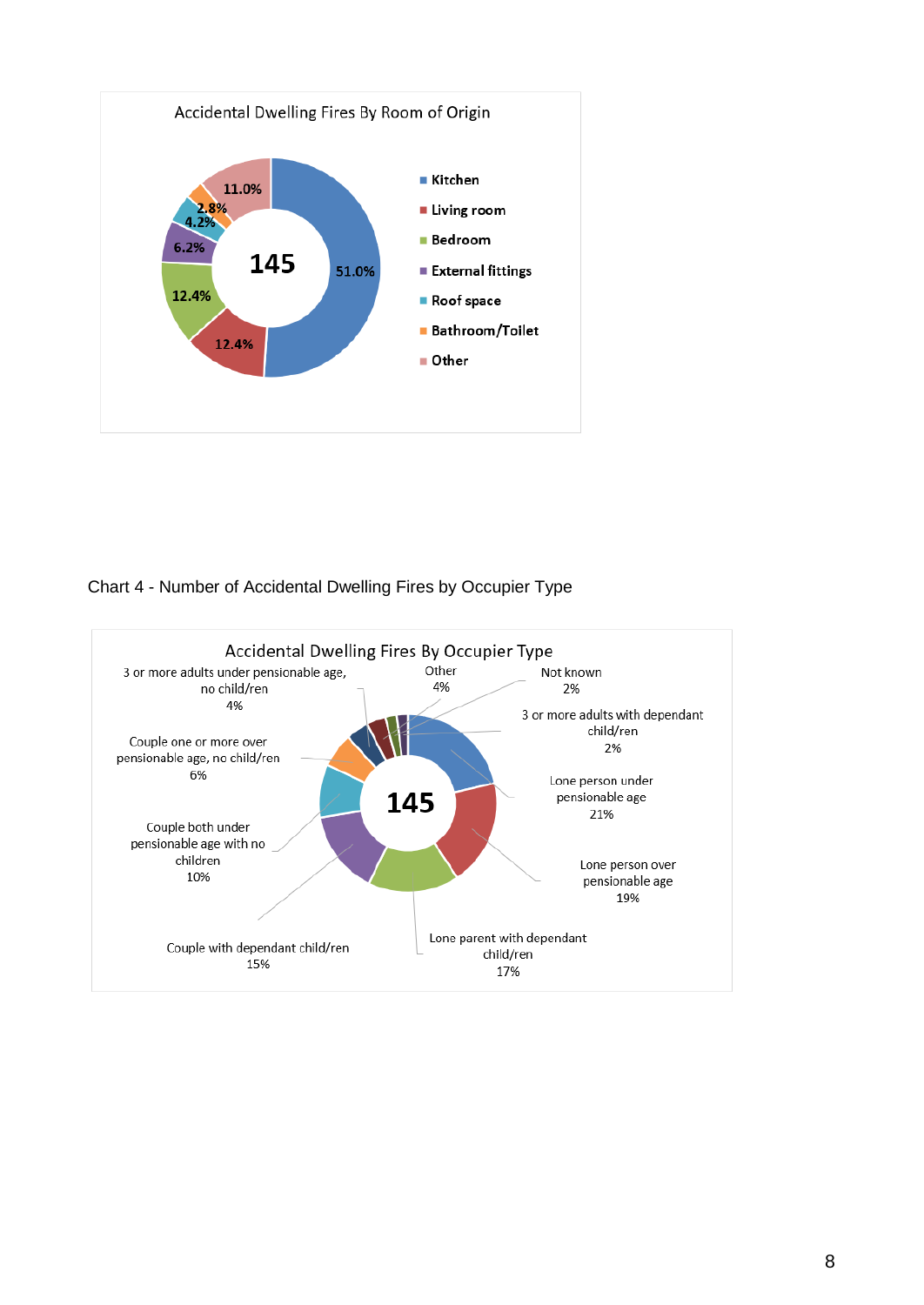

## Chart 4 - Number of Accidental Dwelling Fires by Occupier Type

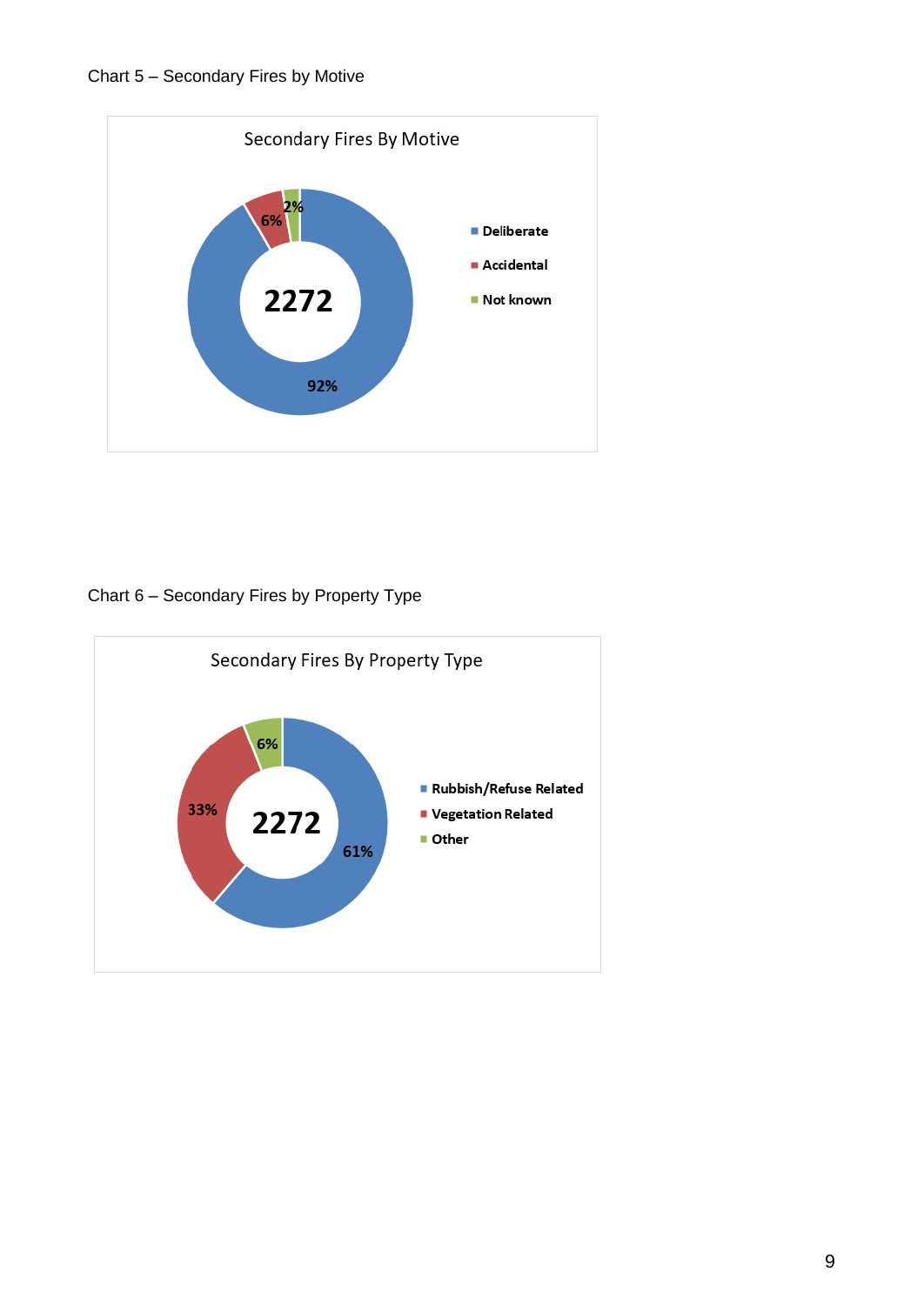

Chart 6 – Secondary Fires by Property Type

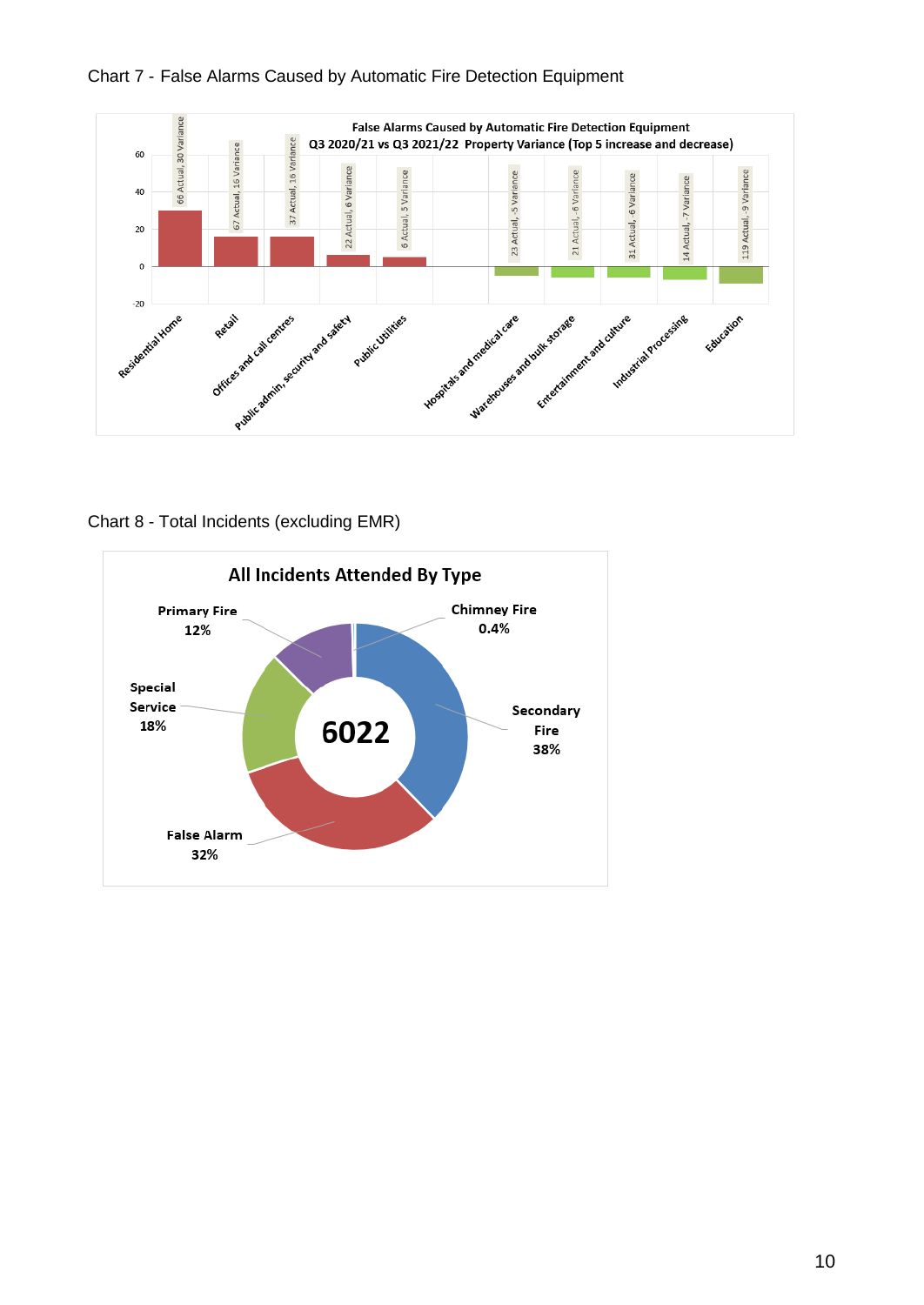



Chart 8 - Total Incidents (excluding EMR)